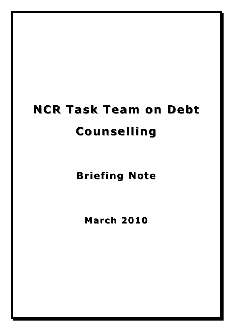# **NCR Task Team on Debt Counselling Counselling**

**Briefing Note** 

**March 2010**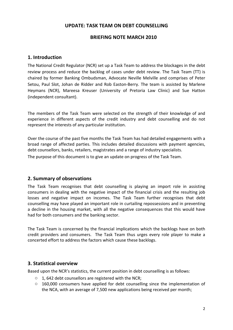# **UPDATE: TASK TEAM ON DEBT COUNSELLING**

# **BRIEFING NOTE MARCH 2010**

#### **1.** Introduction

The National Credit Regulator (NCR) set up a Task Team to address the blockages in the debt review process and reduce the backlog of cases under debt review. The Task Team (TT) is chaired by former Banking Ombudsman, Advocate Neville Melville and comprises of Peter Setou, Paul Slot, Johan de Ridder and Rob Easton-Berry. The team is assisted by Marlene Heymans (NCR), Mareesa Kreuser (University of Pretoria Law Clinic) and Sue Hatton (independent consultant).

The members of the Task Team were selected on the strength of their knowledge of and experience in different aspects of the credit industry and debt counselling and do not represent the interests of any particular institution.

Over the course of the past five months the Task Team has had detailed engagements with a broad range of affected parties. This includes detailed discussions with payment agencies, debt counsellors, banks, retailers, magistrates and a range of industry specialists.

The purpose of this document is to give an update on progress of the Task Team.

#### **2. Summary of observations**

The Task Team recognises that debt counselling is playing an import role in assisting consumers in dealing with the negative impact of the financial crisis and the resulting job losses and negative impact on incomes. The Task Team further recognises that debt counselling may have played an important role in curtailing repossessions and in preventing a decline in the housing market, with all the negative consequences that this would have had for both consumers and the banking sector.

The Task Team is concerned by the financial implications which the backlogs have on both credit providers and consumers. The Task Team thus urges every role player to make a concerted effort to address the factors which cause these backlogs.

#### **3. Statistical overview**

Based upon the NCR's statistics, the current position in debt counselling is as follows:

- $\circ$  1, 642 debt counsellors are registered with the NCR;
- $\circ$  160,000 consumers have applied for debt counselling since the implementation of the NCA, with an average of 7,500 new applications being received per month;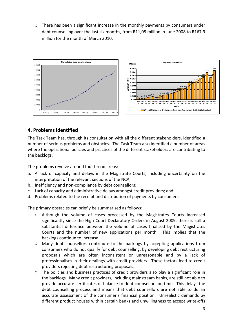$\circ$  There has been a significant increase in the monthly payments by consumers under debt counselling over the last six months, from R11,05 million in June 2008 to R167.9 million for the month of March 2010.



# **4. Problems identified**

The Task Team has, through its consultation with all the different stakeholders, identified a number of serious problems and obstacles. The Task Team also identified a number of areas where the operational policies and practices of the different stakeholders are contributing to the backlogs.

The problems revolve around four broad areas:

- a. A lack of capacity and delays in the Magistrate Courts, including uncertainty on the interpretation of the relevant sections of the NCA;
- b. Inefficiency and non-compliance by debt counsellors;
- c. Lack of capacity and administrative delays amongst credit providers; and
- d. Problems related to the receipt and distribution of payments by consumers.

The primary obstacles can briefly be summarised as follows:

- o Although the volume of cases processed by the Magistrates Courts increased significantly since the High Court Declaratory Orders in August 2009, there is still a substantial difference between the volume of cases finalised by the Magistrates Courts and the number of new applications per month. This implies that the backlogs continue to increase.
- $\circ$  Many debt counsellors contribute to the backlogs by accepting applications from consumers who do not qualify for debt counselling, by developing debt restructuring proposals which are often inconsistent or unreasonable and by a lack of professionalism in their dealings with credit providers. These factors lead to credit providers rejecting debt restructuring proposals.
- $\circ$  The policies and business practices of credit providers also play a significant role in the backlogs. Many credit providers, including mainstream banks, are still not able to provide accurate certificates of balance to debt counsellors on time. This delays the debt counselling process and means that debt counsellors are not able to do an accurate assessment of the consumer's financial position. Unrealistic demands by different product houses within certain banks and unwillingness to accept write-offs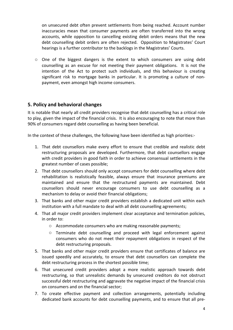on unsecured debt often prevent settlements from being reached. Account number inaccuracies mean that consumer payments are often transferred into the wrong accounts, while opposition to cancelling existing debit orders means that the new debt counselling debit orders are often rejected. Opposition to Magistrates' Court hearings is a further contributor to the backlogs in the Magistrates' Courts.

 $\circ$  One of the biggest dangers is the extent to which consumers are using debt counselling as an excuse for not meeting their payment obligations. It is not the intention of the Act to protect such individuals, and this behaviour is creating significant risk to mortgage banks in particular. It is promoting a culture of nonpayment, even amongst high income consumers.

# **5. Policy and behavioral changes**

It is notable that nearly all credit providers recognise that debt counselling has a critical role to play, given the impact of the financial crisis. It is also encouraging to note that more than 90% of consumers regard debt counselling as having been beneficial.

In the context of these challenges, the following have been identified as high priorities:-

- 1. That debt counsellors make every effort to ensure that credible and realistic debt restructuring proposals are developed. Furthermore, that debt counsellors engage with credit providers in good faith in order to achieve consensual settlements in the greatest number of cases possible;
- 2. That debt counsellors should only accept consumers for debt counselling where debt rehabilitation is realistically feasible, always ensure that insurance premiums are maintained and ensure that the restructured payments are maintained. Debt counsellors should never encourage consumers to use debt counselling as a mechanism to delay or avoid their financial obligations;
- 3. That banks and other major credit providers establish a dedicated unit within each institution with a full mandate to deal with all debt counselling agreements;
- 4. That all major credit providers implement clear acceptance and termination policies, in order to:
	- $\circ$  Accommodate consumers who are making reasonable payments;
	- $\circ$  Terminate debt counselling and proceed with legal enforcement against consumers who do not meet their repayment obligations in respect of the debt restructuring proposals.
- 5. That banks and other major credit providers ensure that certificates of balance are issued speedily and accurately, to ensure that debt counsellors can complete the debt restructuring process in the shortest possible time;
- 6. That unsecured credit providers adopt a more realistic approach towards debt restructuring, so that unrealistic demands by unsecured creditors do not obstruct successful debt restructuring and aggravate the negative impact of the financial crisis on consumers and on the financial sector;
- 7. To create effective payment and collection arrangements, potentially including dedicated bank accounts for debt counselling payments, and to ensure that all pre-